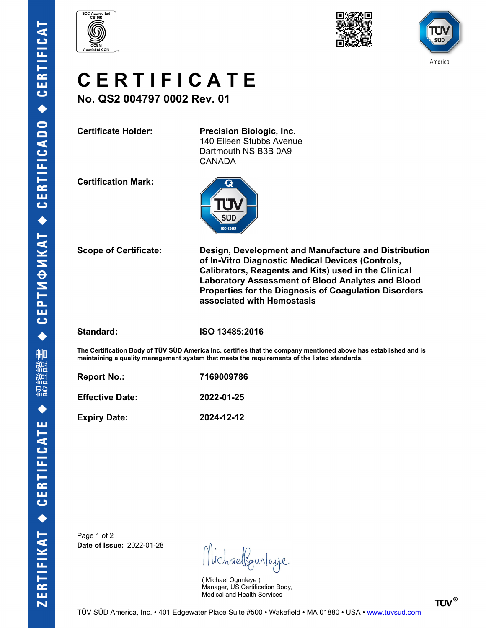





## **C E R T I F I C A T E No. QS2 004797 0002 Rev. 01**

**Certificate Holder: Precision Biologic, Inc.** 140 Eileen Stubbs Avenue Dartmouth NS B3B 0A9 CANADA

**Certification Mark:**



**Scope of Certificate: Design, Development and Manufacture and Distribution of In-Vitro Diagnostic Medical Devices (Controls, Calibrators, Reagents and Kits) used in the Clinical Laboratory Assessment of Blood Analytes and Blood Properties for the Diagnosis of Coagulation Disorders associated with Hemostasis**

**Standard: ISO 13485:2016**

**The Certification Body of TÜV SÜD America Inc. certifies that the company mentioned above has established and is maintaining a quality management system that meets the requirements of the listed standards.**

| <b>Report No.:</b>     | 7169009786 |
|------------------------|------------|
| <b>Effective Date:</b> | 2022-01-25 |
| <b>Expiry Date:</b>    | 2024-12-12 |

Page 1 of 2 **Date of Issue:** 2022-01-28

Wichaelgunleye

( Michael Ogunleye ) Manager, US Certification Body, Medical and Health Services